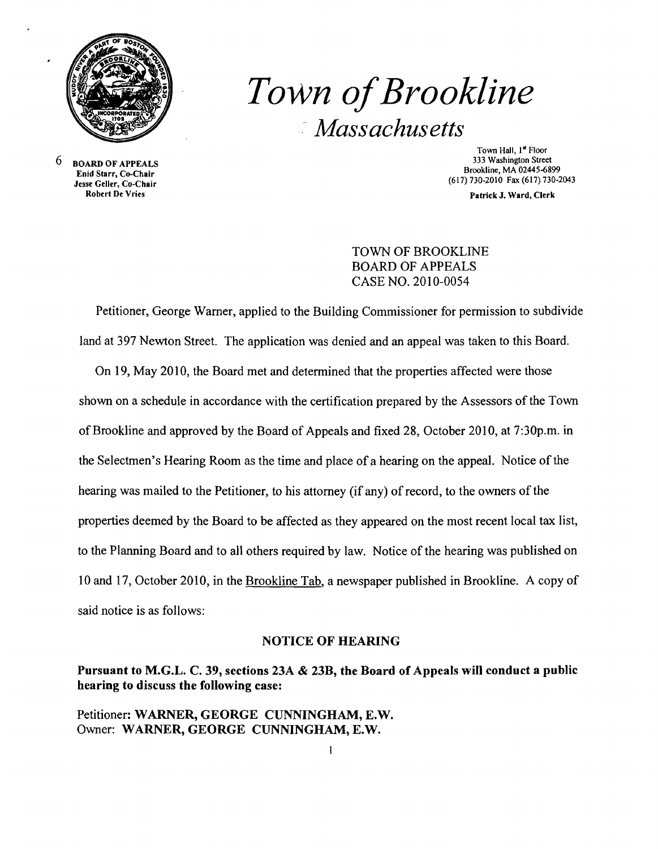

# *Town ofBrookline*  ,- *Massachusetts*

6 BOARD OF APPEALS Enid Starr, Co-Chair Jesse Geller, Co-Chair

Town Hall, 1st Floor 333 Washington Street Brookline, MA 02445-6899 (617)730-2010 Fax (617)730-2043

Patrick J. Ward, Clerk

## TOWN OF BROOKLINE BOARD OF APPEALS CASE NO. 2010-0054

Petitioner, George Warner, applied to the Building Commissioner for permission to subdivide land at 397 Newton Street. The application was denied and an appeal was taken to this Board.

On 19, May 2010, the Board met and determined that the properties affected were those shown on a schedule in accordance with the certification prepared by the Assessors of the Town ofBrookline and approved by the Board of Appeals and fixed 28, October 2010, at 7:30p.m. in the Selectmen's Hearing Room as the time and place of a hearing on the appeal. Notice of the hearing was mailed to the Petitioner, to his attorney (if any) of record, to the owners of the properties deemed by the Board to be affected as they appeared on the most recent local tax list, to the Planning Board and to all others required by law. Notice of the hearing was published on 10 and 17, October 2010, in the Brookline Tab, a newspaper published in Brookline. A copy of said notice is as follows:

#### NOTICE OF HEARING

## Pursuant to M.G.L. C. 39, sections 23A & 23B, the Board of Appeals will conduct a public hearing to discuss the following case:

Petitioner: WARNER, GEORGE CUNNINGHAM, E.W. Owner: WARNER, GEORGE CUNNINGHAM, E.W.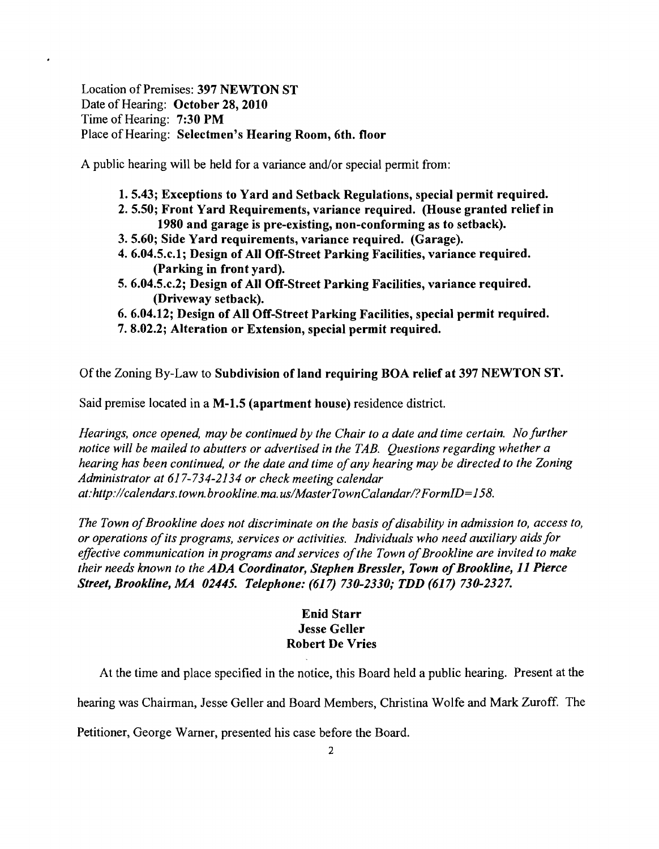Location of Premises: 397 NEWTON ST Date of Hearing: October 28, 2010 Time of Hearing: 7:30 PM Place of Hearing: Selectmen's Hearing Room, 6th. floor

A public hearing will be held for a variance and/or special permit from:

- 1. 5.43; Exceptions to Yard and Setback Regulations, special permit required.
- 2. 5.50; Front Yard Requirements, variance required. (House granted relief in 1980 and garage is pre-existing, non-conforming as to setback).
- 3.5.60; Side Yard requirements, variance required. (Garage).
- 4. 6.04.5.c.l; Design of All Off-Street Parking Facilities, variance required. (Parking in front yard).
- 5. 6.04.5.c.2; Design of All Off-Street Parking Facilities, variance required. (Driveway setback).
- 6.6.04.12; Design of All Off-Street Parking Facilities, special permit required.
- 7.8.02.2; Alteration or Extension, special permit required.

Of the Zoning By-Law to Subdivision of land requiring BOA relief at 397 NEWTON ST.

Said premise located in a M-1.5 (apartment house) residence district.

*Hearings, once opened, may be continued by the Chair to a date and time certain. No further notice will be mailed to abutters or advertised in the TAB. Questions regarding whether a hearing has been continued, or the date and time ofany hearing may be directed to the Zoning Administrator at* 617-734-2134 *or check meeting calendar at:http://calendars. town. brookline. ma. uslMasterTownCalandarl?FormID=158.* 

The Town of Brookline does not discriminate on the basis of disability in admission to, access to, *or operations ofits programs, services or activities. Individuals who need auxiliary aidsfor effective communication in programs and services of the Town of Brookline are invited to make their needs known to the ADA Coordinator, Stephen Bressler, Town of Brookline, 11 Pierce Street, Brookline, MA 02445. Telephone:* (617) *730-2330,. TDD* (617) *730-2327.* 

## Enid Starr Jesse Geller Robert De Vries

At the time and place specified in the notice, this Board held a public hearing. Present at the hearing was Chairman, Jesse Geller and Board Members, Christina Wolfe and Mark Zuroff. The

Petitioner, George Warner, presented his case before the Board.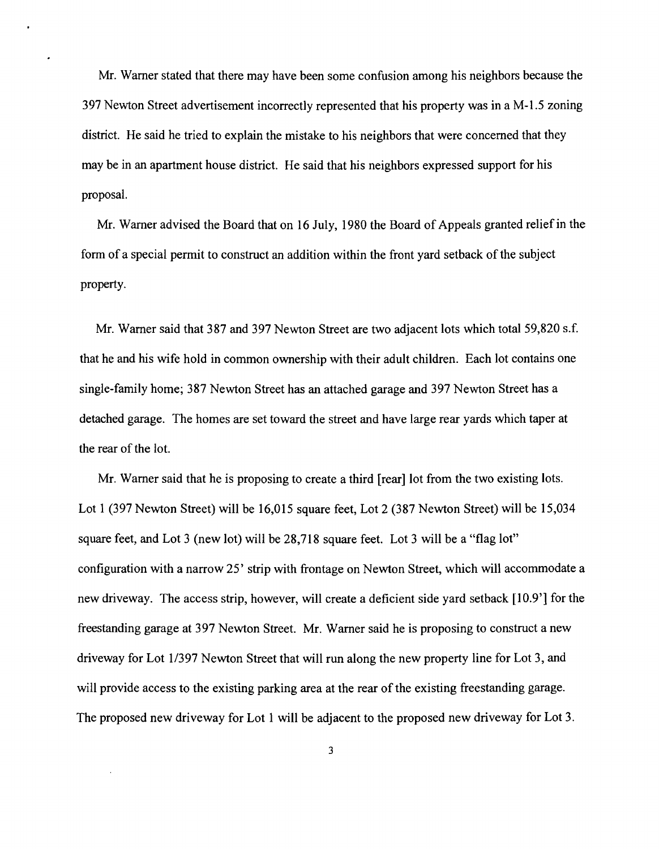Mr. Warner stated that there may have been some confusion among his neighbors because the 397 Newton Street advertisement incorrectly represented that his property was in a M-l.5 zoning district. He said he tried to explain the mistake to his neighbors that were concerned that they may be in an apartment house district. He said that his neighbors expressed support for his proposal.

Mr. Warner advised the Board that on 16 July, 1980 the Board of Appeals granted relief in the form of a special permit to construct an addition within the front yard setback of the subject property.

Mr. Warner said that 387 and 397 Newton Street are two adjacent lots which total 59,820 s.f. that he and his wife hold in common ownership with their adult children. Each lot contains one single-family home; 387 Newton Street has an attached garage and 397 Newton Street has a detached garage. The homes are set toward the street and have large rear yards which taper at the rear of the lot.

Mr. Warner said that he is proposing to create a third [rear] lot from the two existing lots. Lot 1 (397 Newton Street) will be 16,015 square feet, Lot 2 (387 Newton Street) will be 15,034 square feet, and Lot 3 (new lot) will be 28,718 square feet. Lot 3 will be a "flag lot" configuration with a narrow 25' strip with frontage on Newton Street, which will accommodate a new driveway. The access strip, however, will create a deficient side yard setback [10.9'] for the freestanding garage at 397 Newton Street. Mr. Warner said he is proposing to construct a new driveway for Lot 1/397 Newton Street that will run along the new property line for Lot 3, and will provide access to the existing parking area at the rear of the existing freestanding garage. The proposed new driveway for Lot I will be adjacent to the proposed new driveway for Lot 3.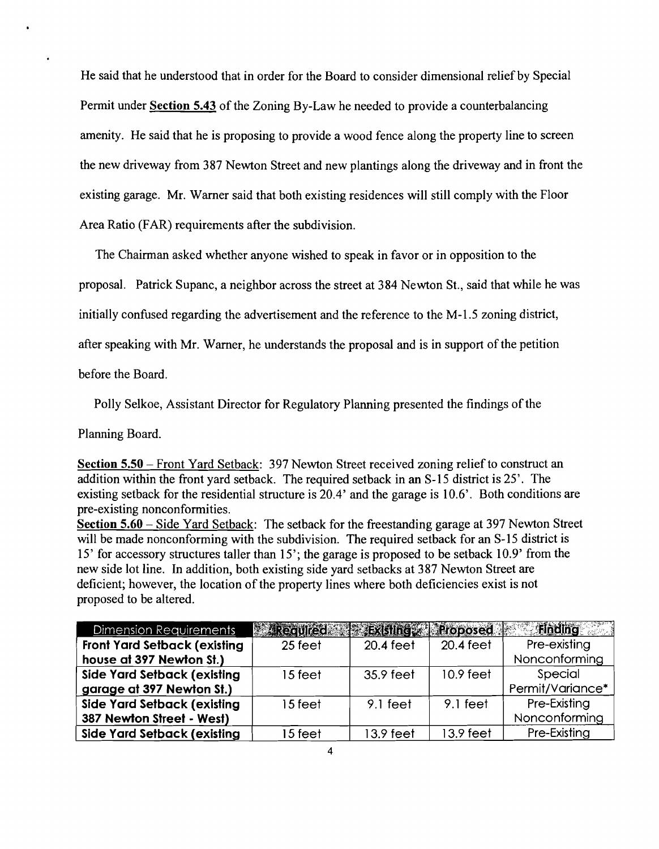He said that he understood that in order for the Board to consider dimensional relief by Special Permit under Section 5.43 of the Zoning By-Law he needed to provide a counterbalancing amenity. He said that he is proposing to provide a wood fence along the property line to screen the new driveway from 387 Newton Street and new plantings along the driveway and in front the existing garage. Mr. Warner said that both existing residences will still comply with the Floor Area Ratio (FAR) requirements after the subdivision.

The Chairman asked whether anyone wished to speak in favor or in opposition to the

proposal. Patrick Supanc, a neighbor across the street at 384 Newton St., said that while he was

initially confused regarding the advertisement and the reference to the M-l.5 zoning district,

after speaking with Mr. Warner, he understands the proposal and is in support of the petition

before the Board.

Polly Selkoe, Assistant Director for Regulatory Planning presented the findings of the

Planning Board.

Section 5.50 – Front Yard Setback: 397 Newton Street received zoning relief to construct an addition within the front yard setback. The required setback in an S-15 district is 25'. The existing setback for the residential structure is 20.4' and the garage is 10.6'. Both conditions are pre-existing nonconformities.

Section 5.60 – Side Yard Setback: The setback for the freestanding garage at 397 Newton Street will be made nonconforming with the subdivision. The required setback for an S-15 district is 15' for accessory structures taller than 15'; the garage is proposed to be setback 10.9' from the new side lot line. In addition, both existing side yard setbacks at 387 Newton Street are deficient; however, the location of the property lines where both deficiencies exist is not proposed to be altered.

| <b>Dimension Requirements</b>        | <b>Wirkeaufed</b> | <b>Existing Recopesed</b> |           | Finding          |
|--------------------------------------|-------------------|---------------------------|-----------|------------------|
| <b>Front Yard Setback (existing)</b> | 25 feet           | 20.4 feet                 | 20.4 feet | Pre-existing     |
| house at 397 Newton St.)             |                   |                           |           | Nonconforming    |
| Side Yard Setback (existing          | 15 feet           | 35.9 feet                 | 10.9 feet | Special          |
| garage at 397 Newton St.)            |                   |                           |           | Permit/Variance* |
| Side Yard Setback (existing          | 15 feet           | $9.1$ feet                | 9.1 feet  | Pre-Existing     |
| 387 Newton Street - West)            |                   |                           |           | Nonconforming    |
| Side Yard Setback (existing          | 15 feet           | $13.9$ feet               | 13.9 feet | Pre-Existing     |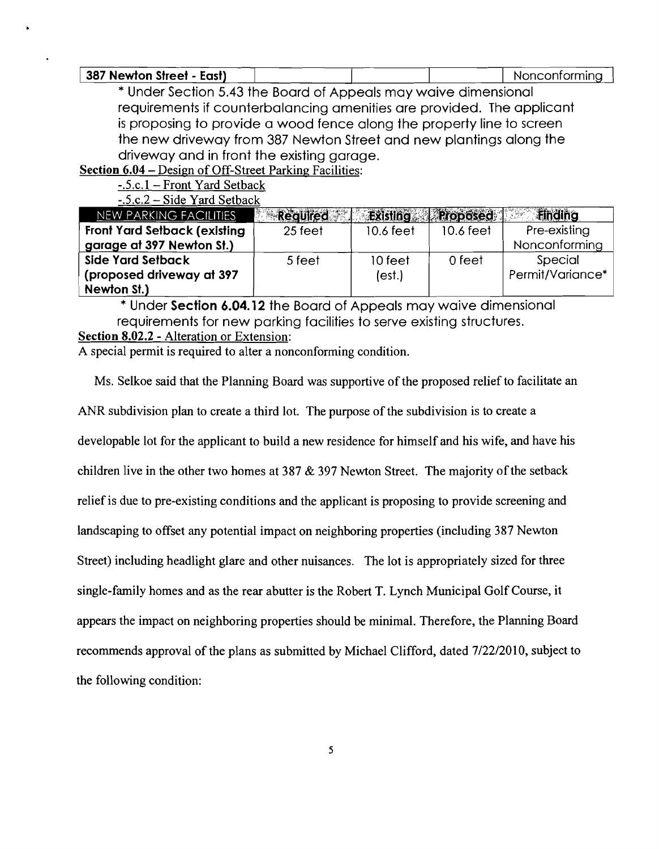| 387 Newton Street - East) |  | Nonconforming |
|---------------------------|--|---------------|
|---------------------------|--|---------------|

\* Under Section 5.43 the Board of Appeals may waive dimensional requirements if counterbalancing amenities are provided. The applicant is proposing to provide a wood fence along the property line to screen the new driveway from 387 Newton Street and new plantings along the driveway and in front the existing garage.

Section 6.04 - Design of Off-Street Parking Facilities:

-.5.c.1 - Front Yard Setback

| $-.5.c.2-Side$ Yard Setback         |                 |           |                   |                              |
|-------------------------------------|-----------------|-----------|-------------------|------------------------------|
| NEW PARKING FACILITIES              | <b>Required</b> |           | Existing Proposed | <b>Finding</b><br>$\sim 100$ |
| <b>Front Yard Setback (existing</b> | 25 feet         | 10.6 feet | 10.6 feet         | Pre-existing                 |
| garage at 397 Newton St.)           |                 |           |                   | Nonconforming                |
| Side Yard Setback                   | 5 feet          | 10 feet   | 0 feet            | Special                      |
| (proposed driveway at 397           |                 | (est.)    |                   | Permit/Variance*             |
| Newton St.)                         |                 |           |                   |                              |

\* Under Section 6.04.12 the Board of Appeals may waive dimensional requirements for new parking facilities to serve existing structures. Section 8.02.2 - Alteration or Extension:

A special permit is required to alter a nonconforming condition.

Ms. Selkoe said that the Planning Board was supportive of the proposed relief to facilitate an

ANR subdivision plan to create a third lot. The purpose of the subdivision is to create a

developable lot for the applicant to build a new residence for himself and his wife, and have his

children live in the other two homes at 387  $&$  397 Newton Street. The majority of the setback

relief is due to pre-existing conditions and the applicant is proposing to provide screening and

landscaping to offset any potential impact on neighboring properties (including 387 Newton

Street) including headlight glare and other nuisances. The lot is appropriately sized for three

single-family homes and as the rear abutter is the Robert T. Lynch Municipal Golf Course, it

appears the impact on neighboring properties should be minimal. Therefore, the Planning Board

recommends approval of the plans as submitted by Michael Clifford, dated 7/22/2010, subject to

the following condition: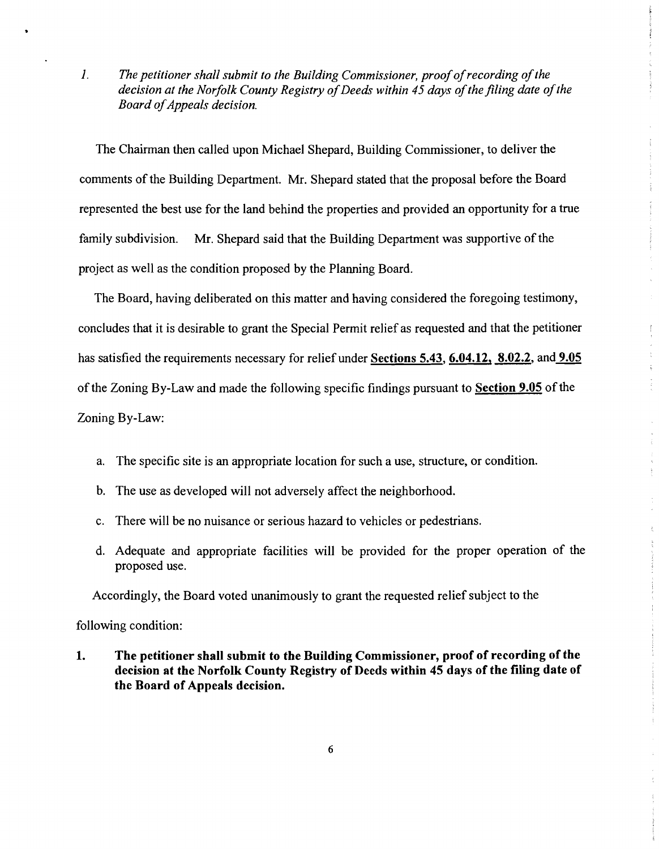1. The petitioner shall submit to the Building Commissioner, proof of recording of the decision at the Norfolk County Registry of Deeds within 45 days of the filing date of the *Board ofAppeals decision.* 

The Chairman then called upon Michael Shepard, Building Commissioner, to deliver the comments of the Building Department. Mr. Shepard stated that the proposal before the Board represented the best use for the land behind the properties and provided an opportunity for a true family subdivision. Mr. Shepard said that the Building Department was supportive of the project as well as the condition proposed by the Planning Board.

÷.

 $\left(\begin{array}{c} 1 \\ 1 \end{array}\right)$ 

 $\frac{1}{4}$  $\frac{1}{3}$  $\frac{1}{2}$ 

The Board, having deliberated on this matter and having considered the foregoing testimony, concludes that it is desirable to grant the Special Permit relief as requested and that the petitioner has satisfied the requirements necessary for relief under Sections 5.43, 6.04.12, 8.02.2, and 9.05 of the Zoning By-Law and made the following specific findings pursuant to Section 9.05 of the Zoning By-Law:

- a. The specific site is an appropriate location for such a use, structure, or condition.
- b. The use as developed will not adversely affect the neighborhood.
- c. There will be no nuisance or serious hazard to vehicles or pedestrians.
- d. Adequate and appropriate facilities will be provided for the proper operation of the proposed use.

Accordingly, the Board voted unanimously to grant the requested relief subject to the

following condition:

1. The petitioner shall submit to the Building Commissioner, proof of recording of the decision at the Norfolk County Registry of Deeds within 45 days of the filing date of the Board of Appeals decision.

6